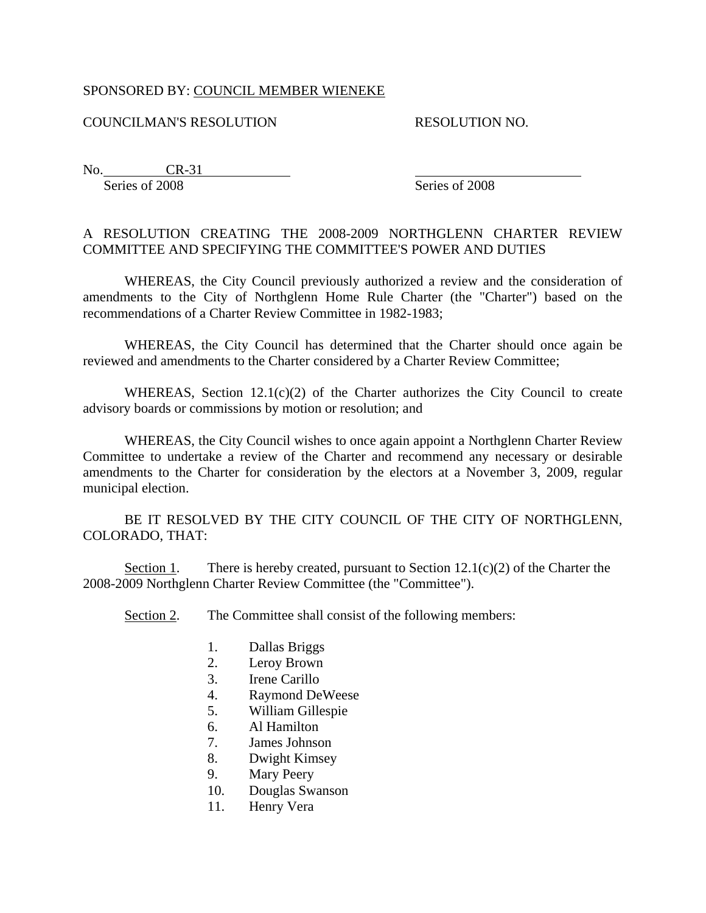## SPONSORED BY: COUNCIL MEMBER WIENEKE

## COUNCILMAN'S RESOLUTION RESOLUTION NO.

No. CR-31 Series of 2008 Series of 2008

## A RESOLUTION CREATING THE 2008-2009 NORTHGLENN CHARTER REVIEW COMMITTEE AND SPECIFYING THE COMMITTEE'S POWER AND DUTIES

WHEREAS, the City Council previously authorized a review and the consideration of amendments to the City of Northglenn Home Rule Charter (the "Charter") based on the recommendations of a Charter Review Committee in 1982-1983;

WHEREAS, the City Council has determined that the Charter should once again be reviewed and amendments to the Charter considered by a Charter Review Committee;

WHEREAS, Section 12.1(c)(2) of the Charter authorizes the City Council to create advisory boards or commissions by motion or resolution; and

WHEREAS, the City Council wishes to once again appoint a Northglenn Charter Review Committee to undertake a review of the Charter and recommend any necessary or desirable amendments to the Charter for consideration by the electors at a November 3, 2009, regular municipal election.

 BE IT RESOLVED BY THE CITY COUNCIL OF THE CITY OF NORTHGLENN, COLORADO, THAT:

Section 1. There is hereby created, pursuant to Section  $12.1(c)(2)$  of the Charter the 2008-2009 Northglenn Charter Review Committee (the "Committee").

Section 2. The Committee shall consist of the following members:

- 1. Dallas Briggs
- 2. Leroy Brown
- 3. Irene Carillo
- 4. Raymond DeWeese
- 5. William Gillespie
- 6. Al Hamilton
- 7. James Johnson
- 8. Dwight Kimsey
- 9. Mary Peery
- 10. Douglas Swanson
- 11. Henry Vera